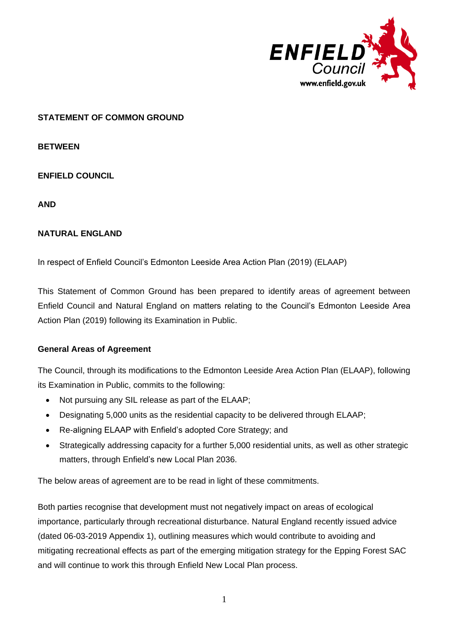

## **STATEMENT OF COMMON GROUND**

**BETWEEN**

**ENFIELD COUNCIL** 

**AND**

## **NATURAL ENGLAND**

In respect of Enfield Council's Edmonton Leeside Area Action Plan (2019) (ELAAP)

This Statement of Common Ground has been prepared to identify areas of agreement between Enfield Council and Natural England on matters relating to the Council's Edmonton Leeside Area Action Plan (2019) following its Examination in Public.

## **General Areas of Agreement**

The Council, through its modifications to the Edmonton Leeside Area Action Plan (ELAAP), following its Examination in Public, commits to the following:

- Not pursuing any SIL release as part of the ELAAP;
- Designating 5,000 units as the residential capacity to be delivered through ELAAP;
- Re-aligning ELAAP with Enfield's adopted Core Strategy; and
- Strategically addressing capacity for a further 5,000 residential units, as well as other strategic matters, through Enfield's new Local Plan 2036.

The below areas of agreement are to be read in light of these commitments.

Both parties recognise that development must not negatively impact on areas of ecological importance, particularly through recreational disturbance. Natural England recently issued advice (dated 06-03-2019 Appendix 1), outlining measures which would contribute to avoiding and mitigating recreational effects as part of the emerging mitigation strategy for the Epping Forest SAC and will continue to work this through Enfield New Local Plan process.